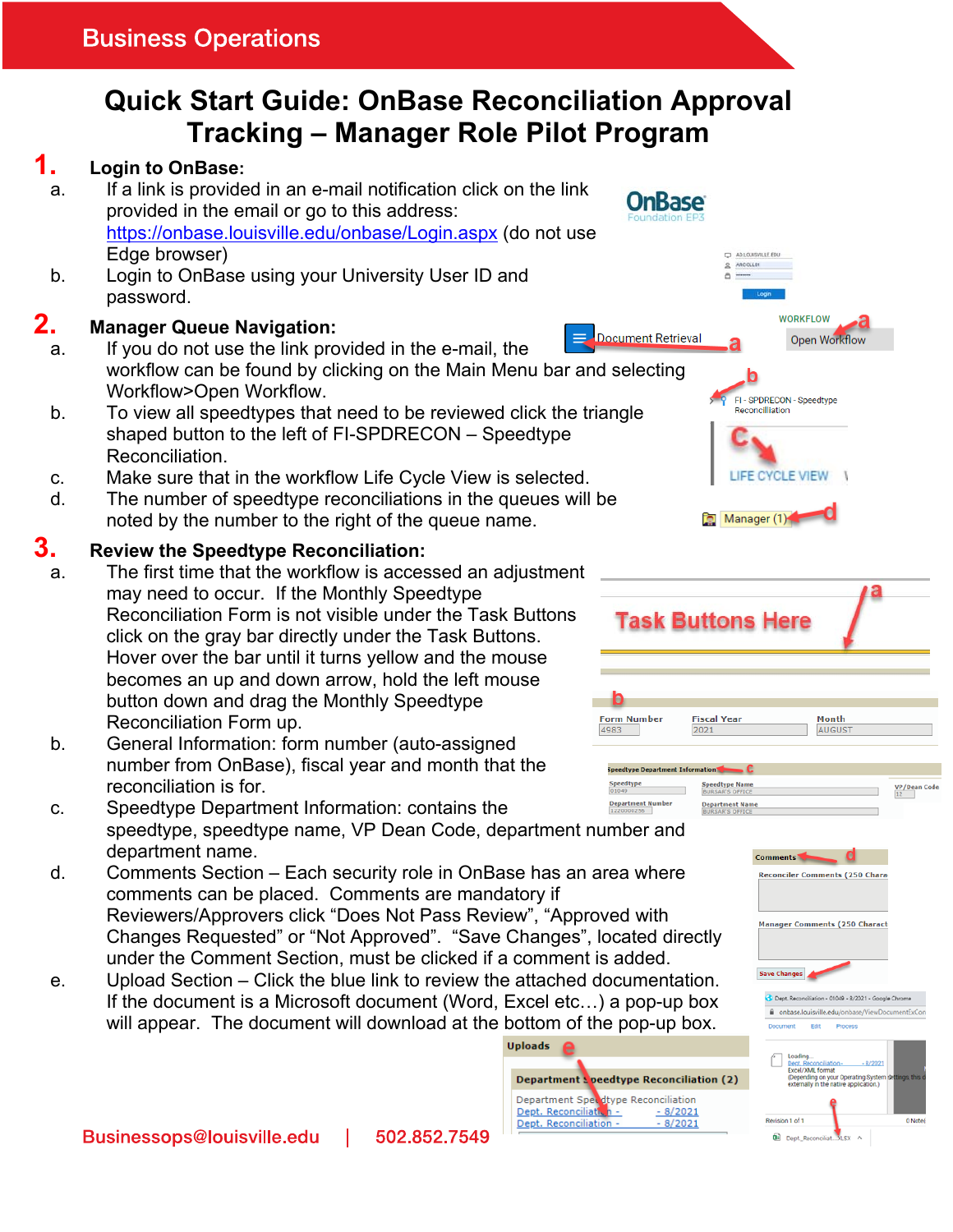# **Quick Start Guide: OnBase Reconciliation Approval Tracking – Manager Role Pilot Program**

# **1. Login to OnBase:**

- a. If a link is provided in an e-mail notification click on the link provided in the email or go to this address: https://onbase.louisville.edu/onbase/Login.aspx (do not use Edge browser)
- b. Login to OnBase using your University User ID and password.

### **2. Manager Queue Navigation:**

- a. If you do not use the link provided in the e-mail, the workflow can be found by clicking on the Main Menu bar and selecting Workflow>Open Workflow.
- b. To view all speedtypes that need to be reviewed click the triangle shaped button to the left of FI-SPDRECON – Speedtype Reconciliation.
- c. Make sure that in the workflow Life Cycle View is selected.
- d. The number of speedtype reconciliations in the queues will be noted by the number to the right of the queue name.

## **3. Review the Speedtype Reconciliation:**

- a. The first time that the workflow is accessed an adjustment may need to occur. If the Monthly Speedtype Reconciliation Form is not visible under the Task Buttons click on the gray bar directly under the Task Buttons. Hover over the bar until it turns yellow and the mouse becomes an up and down arrow, hold the left mouse button down and drag the Monthly Speedtype Reconciliation Form up.
- b. General Information: form number (auto-assigned number from OnBase), fiscal year and month that the reconciliation is for.
- c. Speedtype Department Information: contains the speedtype, speedtype name, VP Dean Code, department number and department name.
- d. Comments Section Each security role in OnBase has an area where comments can be placed. Comments are mandatory if Reviewers/Approvers click "Does Not Pass Review", "Approved with Changes Requested" or "Not Approved". "Save Changes", located directly under the Comment Section, must be clicked if a comment is added.
- e. Upload Section Click the blue link to review the attached documentation. If the document is a Microsoft document (Word, Excel etc…) a pop-up box will appear. The document will download at the bottom of the pop-up box.











**Reconciler Comments (250 Chara** 

**Manager Comments (250 Charact**